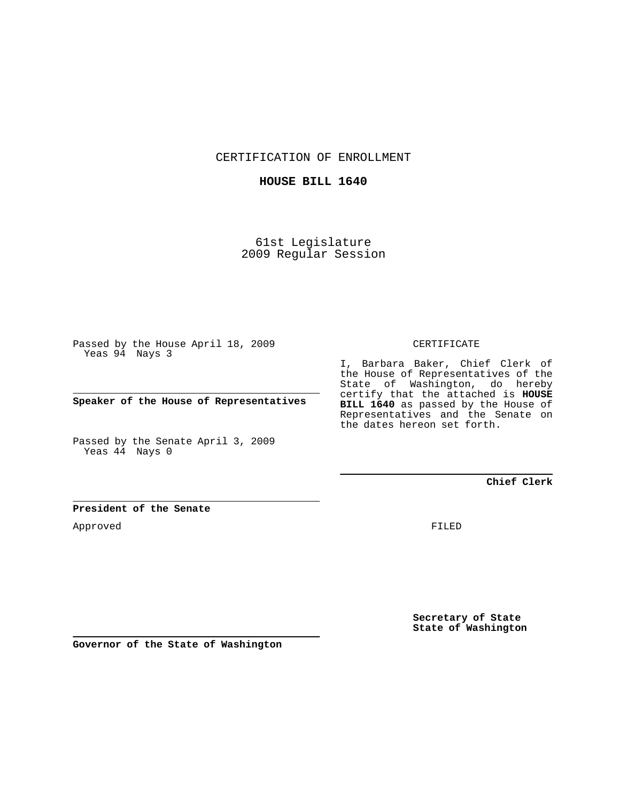CERTIFICATION OF ENROLLMENT

## **HOUSE BILL 1640**

61st Legislature 2009 Regular Session

Passed by the House April 18, 2009 Yeas 94 Nays 3

**Speaker of the House of Representatives**

Passed by the Senate April 3, 2009 Yeas 44 Nays 0

## CERTIFICATE

I, Barbara Baker, Chief Clerk of the House of Representatives of the State of Washington, do hereby certify that the attached is **HOUSE BILL 1640** as passed by the House of Representatives and the Senate on the dates hereon set forth.

**Chief Clerk**

## **President of the Senate**

Approved

FILED

**Secretary of State State of Washington**

**Governor of the State of Washington**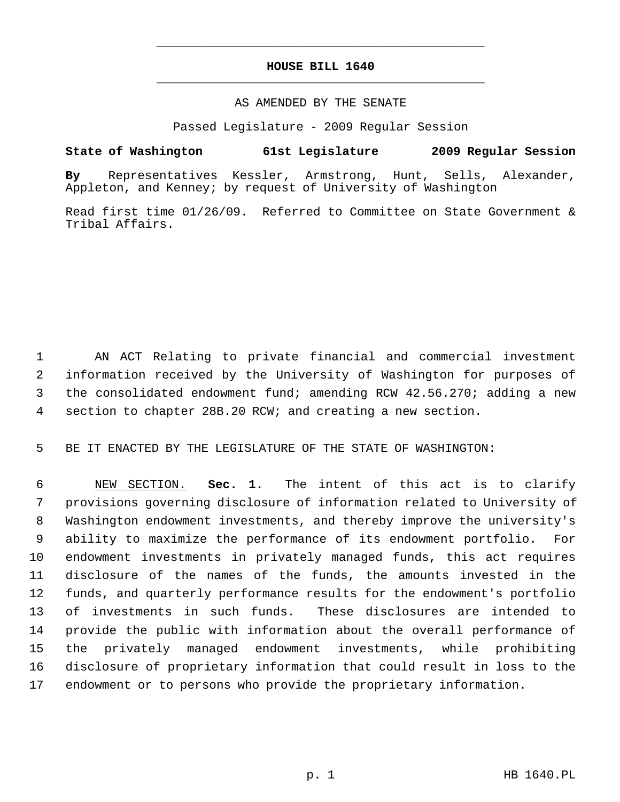# **HOUSE BILL 1640** \_\_\_\_\_\_\_\_\_\_\_\_\_\_\_\_\_\_\_\_\_\_\_\_\_\_\_\_\_\_\_\_\_\_\_\_\_\_\_\_\_\_\_\_\_

\_\_\_\_\_\_\_\_\_\_\_\_\_\_\_\_\_\_\_\_\_\_\_\_\_\_\_\_\_\_\_\_\_\_\_\_\_\_\_\_\_\_\_\_\_

#### AS AMENDED BY THE SENATE

Passed Legislature - 2009 Regular Session

## **State of Washington 61st Legislature 2009 Regular Session**

**By** Representatives Kessler, Armstrong, Hunt, Sells, Alexander, Appleton, and Kenney; by request of University of Washington

Read first time 01/26/09. Referred to Committee on State Government & Tribal Affairs.

 1 AN ACT Relating to private financial and commercial investment 2 information received by the University of Washington for purposes of 3 the consolidated endowment fund; amending RCW 42.56.270; adding a new 4 section to chapter 28B.20 RCW; and creating a new section.

5 BE IT ENACTED BY THE LEGISLATURE OF THE STATE OF WASHINGTON:

 6 NEW SECTION. **Sec. 1.** The intent of this act is to clarify 7 provisions governing disclosure of information related to University of 8 Washington endowment investments, and thereby improve the university's 9 ability to maximize the performance of its endowment portfolio. For 10 endowment investments in privately managed funds, this act requires 11 disclosure of the names of the funds, the amounts invested in the 12 funds, and quarterly performance results for the endowment's portfolio 13 of investments in such funds. These disclosures are intended to 14 provide the public with information about the overall performance of 15 the privately managed endowment investments, while prohibiting 16 disclosure of proprietary information that could result in loss to the 17 endowment or to persons who provide the proprietary information.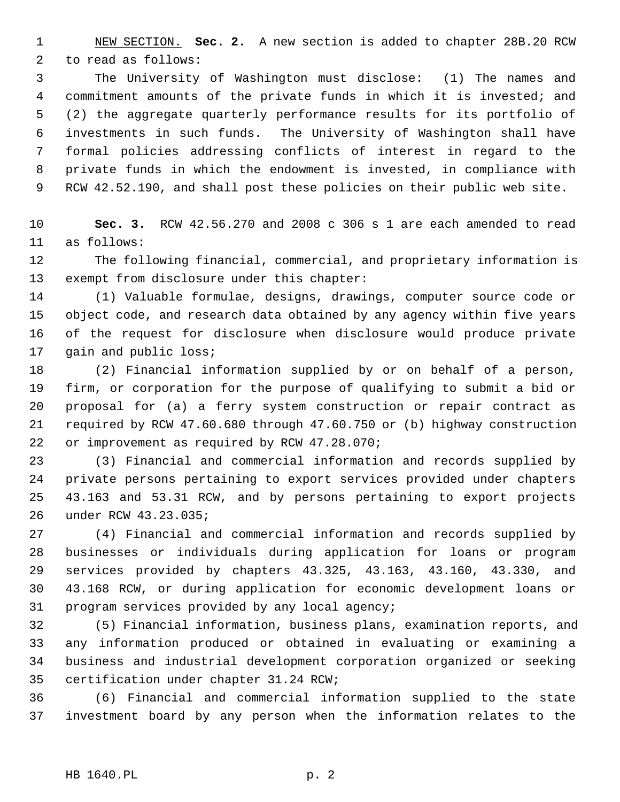1 NEW SECTION. **Sec. 2.** A new section is added to chapter 28B.20 RCW 2 to read as follows:

 3 The University of Washington must disclose: (1) The names and 4 commitment amounts of the private funds in which it is invested; and 5 (2) the aggregate quarterly performance results for its portfolio of 6 investments in such funds. The University of Washington shall have 7 formal policies addressing conflicts of interest in regard to the 8 private funds in which the endowment is invested, in compliance with 9 RCW 42.52.190, and shall post these policies on their public web site.

10 **Sec. 3.** RCW 42.56.270 and 2008 c 306 s 1 are each amended to read 11 as follows:

12 The following financial, commercial, and proprietary information is 13 exempt from disclosure under this chapter:

14 (1) Valuable formulae, designs, drawings, computer source code or 15 object code, and research data obtained by any agency within five years 16 of the request for disclosure when disclosure would produce private 17 gain and public loss;

18 (2) Financial information supplied by or on behalf of a person, 19 firm, or corporation for the purpose of qualifying to submit a bid or 20 proposal for (a) a ferry system construction or repair contract as 21 required by RCW 47.60.680 through 47.60.750 or (b) highway construction 22 or improvement as required by RCW 47.28.070;

23 (3) Financial and commercial information and records supplied by 24 private persons pertaining to export services provided under chapters 25 43.163 and 53.31 RCW, and by persons pertaining to export projects 26 under RCW 43.23.035;

27 (4) Financial and commercial information and records supplied by 28 businesses or individuals during application for loans or program 29 services provided by chapters 43.325, 43.163, 43.160, 43.330, and 30 43.168 RCW, or during application for economic development loans or 31 program services provided by any local agency;

32 (5) Financial information, business plans, examination reports, and 33 any information produced or obtained in evaluating or examining a 34 business and industrial development corporation organized or seeking 35 certification under chapter 31.24 RCW;

36 (6) Financial and commercial information supplied to the state 37 investment board by any person when the information relates to the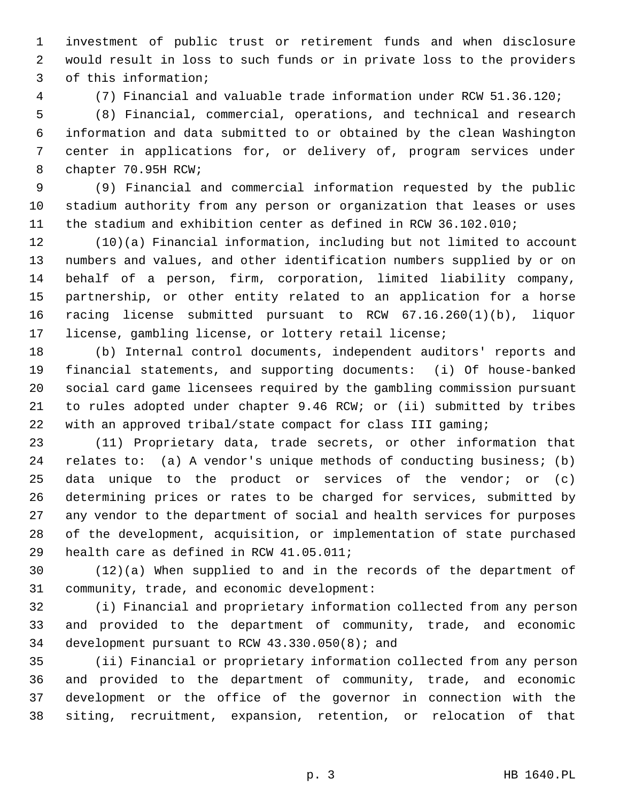1 investment of public trust or retirement funds and when disclosure 2 would result in loss to such funds or in private loss to the providers 3 of this information;

4 (7) Financial and valuable trade information under RCW 51.36.120;

 5 (8) Financial, commercial, operations, and technical and research 6 information and data submitted to or obtained by the clean Washington 7 center in applications for, or delivery of, program services under 8 chapter 70.95H RCW;

 9 (9) Financial and commercial information requested by the public 10 stadium authority from any person or organization that leases or uses 11 the stadium and exhibition center as defined in RCW 36.102.010;

12 (10)(a) Financial information, including but not limited to account 13 numbers and values, and other identification numbers supplied by or on 14 behalf of a person, firm, corporation, limited liability company, 15 partnership, or other entity related to an application for a horse 16 racing license submitted pursuant to RCW 67.16.260(1)(b), liquor 17 license, gambling license, or lottery retail license;

18 (b) Internal control documents, independent auditors' reports and 19 financial statements, and supporting documents: (i) Of house-banked 20 social card game licensees required by the gambling commission pursuant 21 to rules adopted under chapter 9.46 RCW; or (ii) submitted by tribes 22 with an approved tribal/state compact for class III gaming;

23 (11) Proprietary data, trade secrets, or other information that 24 relates to: (a) A vendor's unique methods of conducting business; (b) 25 data unique to the product or services of the vendor; or (c) 26 determining prices or rates to be charged for services, submitted by 27 any vendor to the department of social and health services for purposes 28 of the development, acquisition, or implementation of state purchased 29 health care as defined in RCW 41.05.011;

30 (12)(a) When supplied to and in the records of the department of 31 community, trade, and economic development:

32 (i) Financial and proprietary information collected from any person 33 and provided to the department of community, trade, and economic 34 development pursuant to RCW 43.330.050(8); and

35 (ii) Financial or proprietary information collected from any person 36 and provided to the department of community, trade, and economic 37 development or the office of the governor in connection with the 38 siting, recruitment, expansion, retention, or relocation of that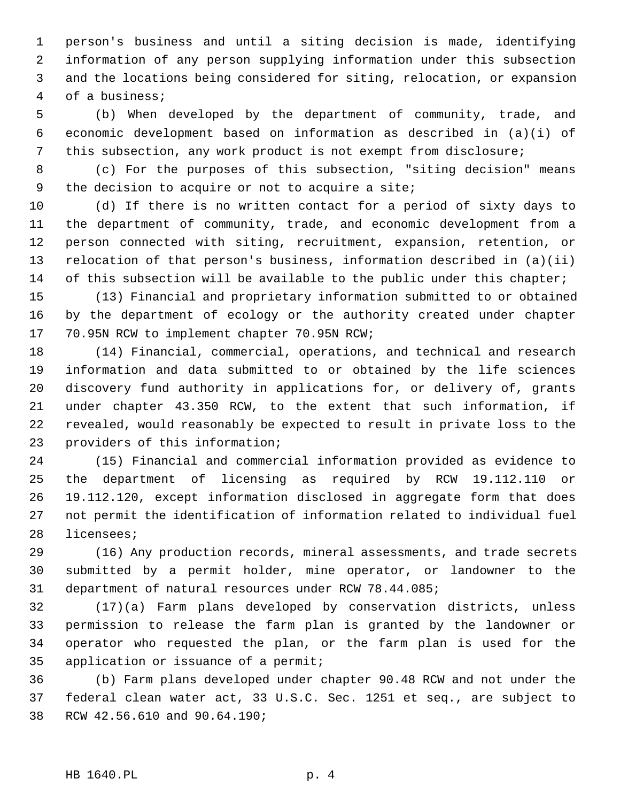1 person's business and until a siting decision is made, identifying 2 information of any person supplying information under this subsection 3 and the locations being considered for siting, relocation, or expansion 4 of a business;

 5 (b) When developed by the department of community, trade, and 6 economic development based on information as described in (a)(i) of 7 this subsection, any work product is not exempt from disclosure;

 8 (c) For the purposes of this subsection, "siting decision" means 9 the decision to acquire or not to acquire a site;

10 (d) If there is no written contact for a period of sixty days to 11 the department of community, trade, and economic development from a 12 person connected with siting, recruitment, expansion, retention, or 13 relocation of that person's business, information described in (a)(ii) 14 of this subsection will be available to the public under this chapter;

15 (13) Financial and proprietary information submitted to or obtained 16 by the department of ecology or the authority created under chapter 17 70.95N RCW to implement chapter 70.95N RCW;

18 (14) Financial, commercial, operations, and technical and research 19 information and data submitted to or obtained by the life sciences 20 discovery fund authority in applications for, or delivery of, grants 21 under chapter 43.350 RCW, to the extent that such information, if 22 revealed, would reasonably be expected to result in private loss to the 23 providers of this information;

24 (15) Financial and commercial information provided as evidence to 25 the department of licensing as required by RCW 19.112.110 or 26 19.112.120, except information disclosed in aggregate form that does 27 not permit the identification of information related to individual fuel 28 licensees;

29 (16) Any production records, mineral assessments, and trade secrets 30 submitted by a permit holder, mine operator, or landowner to the 31 department of natural resources under RCW 78.44.085;

32 (17)(a) Farm plans developed by conservation districts, unless 33 permission to release the farm plan is granted by the landowner or 34 operator who requested the plan, or the farm plan is used for the 35 application or issuance of a permit;

36 (b) Farm plans developed under chapter 90.48 RCW and not under the 37 federal clean water act, 33 U.S.C. Sec. 1251 et seq., are subject to 38 RCW 42.56.610 and 90.64.190;